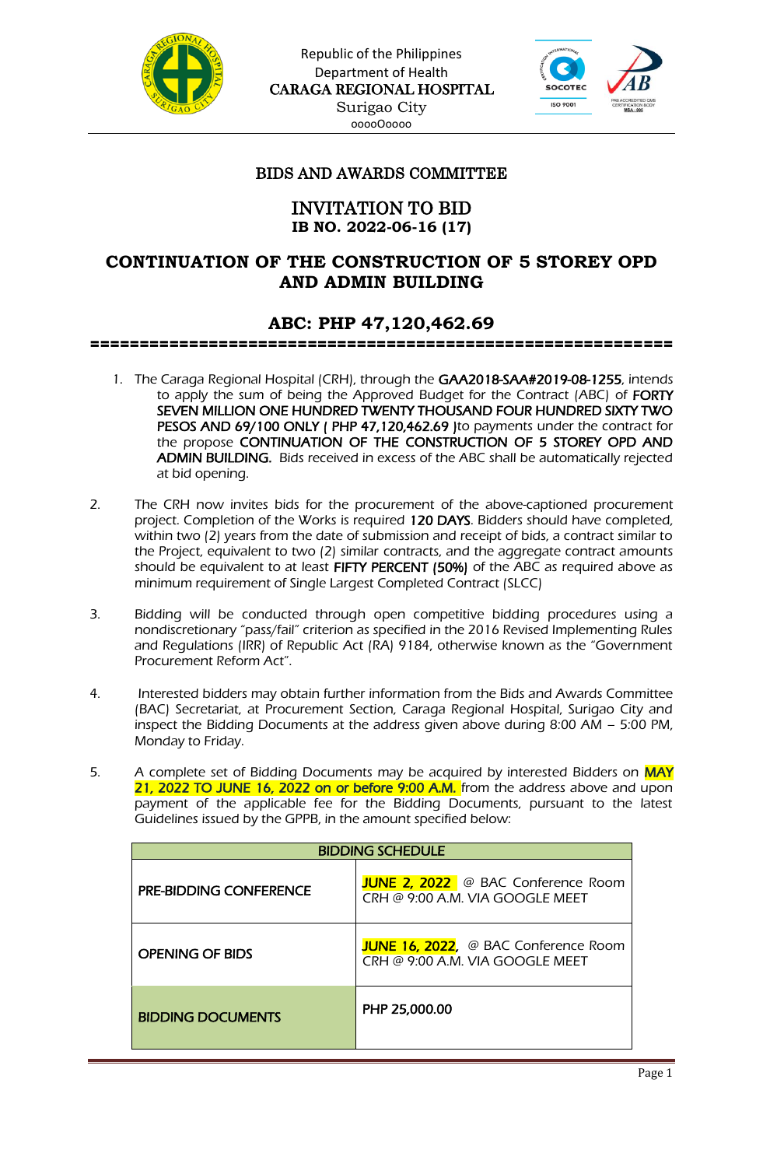



### BIDS AND AWARDS COMMITTEE

### INVITATION TO BID **IB NO. 2022-06-16 (17)**

# **CONTINUATION OF THE CONSTRUCTION OF 5 STOREY OPD AND ADMIN BUILDING**

# **ABC: PHP 47,120,462.69**

===========================================================

- 1. The Caraga Regional Hospital (CRH), through the GAA2018-SAA#2019-08-1255, intends to apply the sum of being the Approved Budget for the Contract (ABC) of FORTY SEVEN MILLION ONE HUNDRED TWENTY THOUSAND FOUR HUNDRED SIXTY TWO PESOS AND 69/100 ONLY (PHP 47,120,462.69 )to payments under the contract for the propose CONTINUATION OF THE CONSTRUCTION OF 5 STOREY OPD AND ADMIN BUILDING. Bids received in excess of the ABC shall be automatically rejected at bid opening.
- 2. The CRH now invites bids for the procurement of the above-captioned procurement project. Completion of the Works is required 120 DAYS. Bidders should have completed, within two (2) years from the date of submission and receipt of bids, a contract similar to the Project, equivalent to two (2) similar contracts, and the aggregate contract amounts should be equivalent to at least FIFTY PERCENT (50%) of the ABC as required above as minimum requirement of Single Largest Completed Contract (SLCC)
- 3. Bidding will be conducted through open competitive bidding procedures using a nondiscretionary "pass/fail" criterion as specified in the 2016 Revised Implementing Rules and Regulations (IRR) of Republic Act (RA) 9184, otherwise known as the "Government Procurement Reform Act".
- 4. Interested bidders may obtain further information from the Bids and Awards Committee (BAC) Secretariat, at Procurement Section, Caraga Regional Hospital, Surigao City and inspect the Bidding Documents at the address given above during 8:00 AM – 5:00 PM, Monday to Friday.
- 5. A complete set of Bidding Documents may be acquired by interested Bidders on MAY 21, 2022 TO JUNE 16, 2022 on or before 9:00 A.M. from the address above and upon payment of the applicable fee for the Bidding Documents, pursuant to the latest Guidelines issued by the GPPB, in the amount specified below:

| <b>BIDDING SCHEDULE</b>       |                                                                         |
|-------------------------------|-------------------------------------------------------------------------|
| <b>PRE-BIDDING CONFERENCE</b> | JUNE 2, 2022 @ BAC Conference Room<br>CRH @ 9:00 A.M. VIA GOOGLE MEET   |
| <b>OPENING OF BIDS</b>        | JUNE 16, 2022, @ BAC Conference Room<br>CRH @ 9:00 A.M. VIA GOOGLE MEET |
| <b>BIDDING DOCUMENTS</b>      | PHP 25,000.00                                                           |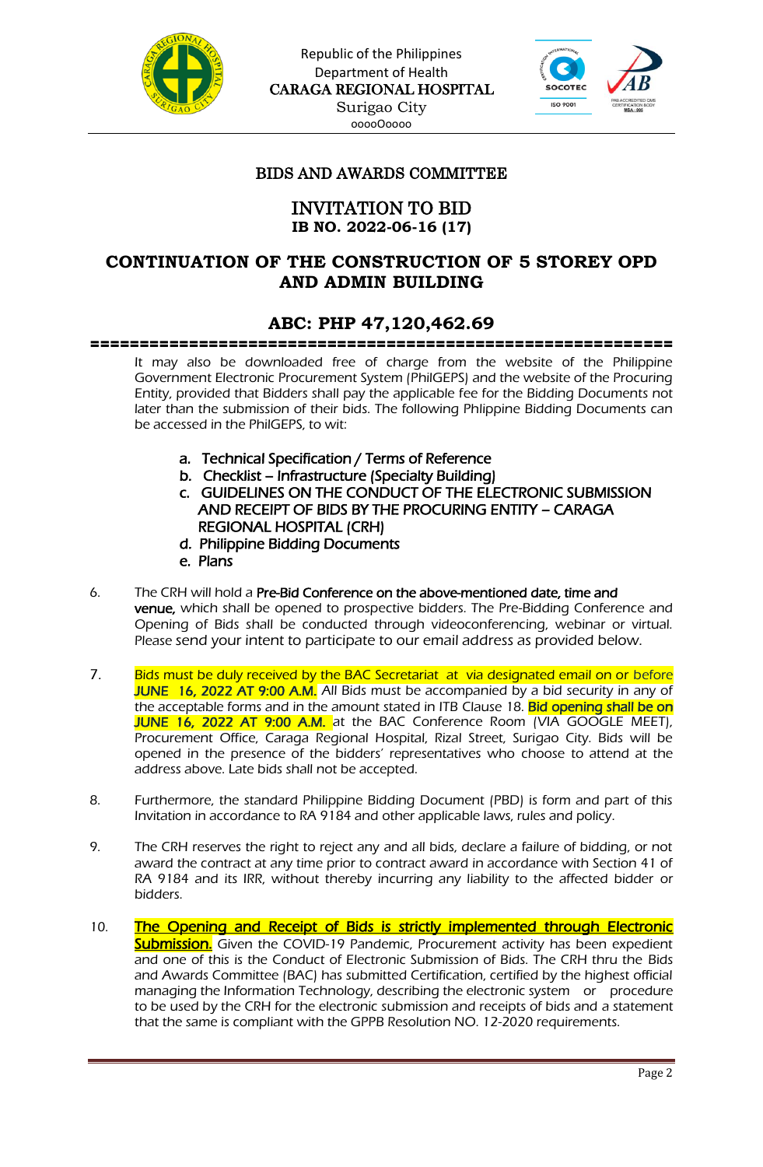



### BIDS AND AWARDS COMMITTEE

### INVITATION TO BID **IB NO. 2022-06-16 (17)**

# **CONTINUATION OF THE CONSTRUCTION OF 5 STOREY OPD AND ADMIN BUILDING**

# **ABC: PHP 47,120,462.69**

===========================================================

It may also be downloaded free of charge from the website of the Philippine Government Electronic Procurement System (PhilGEPS) and the website of the Procuring Entity, provided that Bidders shall pay the applicable fee for the Bidding Documents not later than the submission of their bids. The following Phlippine Bidding Documents can be accessed in the PhilGEPS, to wit:

- a. Technical Specification / Terms of Reference
- b. Checklist Infrastructure (Specialty Building)
- c. GUIDELINES ON THE CONDUCT OF THE ELECTRONIC SUBMISSION AND RECEIPT OF BIDS BY THE PROCURING ENTITY – CARAGA REGIONAL HOSPITAL (CRH)
- d. Philippine Bidding Documents e. Plans
- 6. The CRH will hold a Pre-Bid Conference on the above-mentioned date, time and venue, which shall be opened to prospective bidders. The Pre-Bidding Conference and Opening of Bids shall be conducted through videoconferencing, webinar or virtual. Please send your intent to participate to our email address as provided below.
- 7. Bids must be duly received by the BAC Secretariat at via designated email on or before JUNE 16, 2022 AT 9:00 A.M. All Bids must be accompanied by a bid security in any of the acceptable forms and in the amount stated in ITB Clause 18. Bid opening shall be on JUNE 16, 2022 AT 9:00 A.M. at the BAC Conference Room (VIA GOOGLE MEET), Procurement Office, Caraga Regional Hospital, Rizal Street, Surigao City. Bids will be opened in the presence of the bidders' representatives who choose to attend at the address above. Late bids shall not be accepted.
- 8. Furthermore, the standard Philippine Bidding Document (PBD) is form and part of this Invitation in accordance to RA 9184 and other applicable laws, rules and policy.
- 9. The CRH reserves the right to reject any and all bids, declare a failure of bidding, or not award the contract at any time prior to contract award in accordance with Section 41 of RA 9184 and its IRR, without thereby incurring any liability to the affected bidder or bidders.
- 10. The Opening and Receipt of Bids is strictly implemented through Electronic **Submission.** Given the COVID-19 Pandemic, Procurement activity has been expedient and one of this is the Conduct of Electronic Submission of Bids. The CRH thru the Bids and Awards Committee (BAC) has submitted Certification, certified by the highest official managing the Information Technology, describing the electronic system or procedure to be used by the CRH for the electronic submission and receipts of bids and a statement that the same is compliant with the GPPB Resolution NO. 12-2020 requirements.